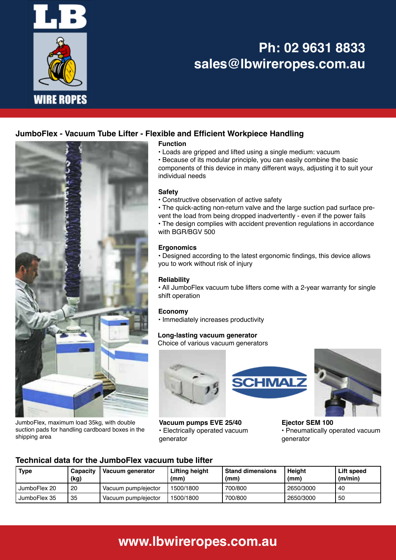

# **Ph: 02 9631 8833 sales@lbwireropes.com.au**

# **JumboFlex - Vacuum Tube Lifter - Flexible and Efficient Workpiece Handling**



JumboFlex, maximum load 35kg, with double suction pads for handling cardboard boxes in the shipping area

### **Function**

• Loads are gripped and lifted using a single medium: vacuum

• Because of its modular principle, you can easily combine the basic components of this device in many different ways, adjusting it to suit your individual needs

### **Safety**

• Constructive observation of active safety

• The quick-acting non-return valve and the large suction pad surface prevent the load from being dropped inadvertently - even if the power fails

• The design complies with accident prevention regulations in accordance with BGR/BGV 500

#### **Ergonomics**

• Designed according to the latest ergonomic findings, this device allows you to work without risk of injury

#### **Reliability**

• All JumboFlex vacuum tube lifters come with a 2-year warranty for single shift operation

### **Economy**

• Immediately increases productivity

#### **Long-lasting vacuum generator** Choice of various vacuum generators



**Vacuum pumps EVE 25/40** • Electrically operated vacuum generator





**Ejector SEM 100** • Pneumatically operated vacuum generator

### **Technical data for the JumboFlex vacuum tube lifter**

| Type           | Capacity<br>(kg) | Vacuum generator    | Lifting height<br>(mm) | <b>Stand dimensions</b><br>(mm) | <b>Height</b><br>(mm) | Lift speed<br>(m/min) |
|----------------|------------------|---------------------|------------------------|---------------------------------|-----------------------|-----------------------|
| I JumboFlex 20 | 20               | Vacuum pump/ejector | 1500/1800              | 700/800                         | 2650/3000             | -40                   |
| I JumboFlex 35 | 35               | Vacuum pump/ejector | 1500/1800              | 700/800                         | 2650/3000             | 50                    |

# **www.lbwireropes.com.au**